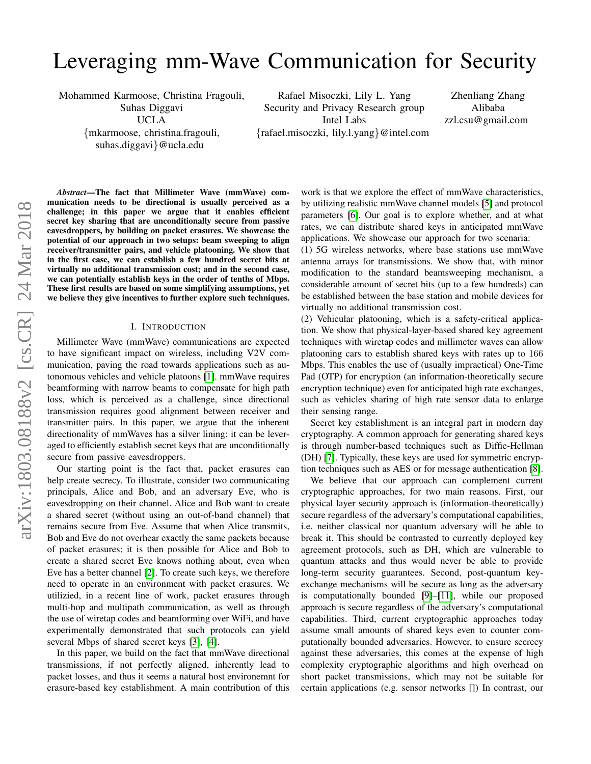# Leveraging mm-Wave Communication for Security

Mohammed Karmoose, Christina Fragouli, Suhas Diggavi

UCLA

{mkarmoose, christina.fragouli, suhas.diggavi}@ucla.edu

Rafael Misoczki, Lily L. Yang Security and Privacy Research group Intel Labs {rafael.misoczki, lily.l.yang}@intel.com

Zhenliang Zhang Alibaba zzl.csu@gmail.com

*Abstract*—The fact that Millimeter Wave (mmWave) communication needs to be directional is usually perceived as a challenge; in this paper we argue that it enables efficient secret key sharing that are unconditionally secure from passive eavesdroppers, by building on packet erasures. We showcase the potential of our approach in two setups: beam sweeping to align receiver/transmitter pairs, and vehicle platooning. We show that in the first case, we can establish a few hundred secret bits at virtually no additional transmission cost; and in the second case, we can potentially establish keys in the order of tenths of Mbps. These first results are based on some simplifying assumptions, yet we believe they give incentives to further explore such techniques.

#### I. INTRODUCTION

Millimeter Wave (mmWave) communications are expected to have significant impact on wireless, including V2V communication, paving the road towards applications such as autonomous vehicles and vehicle platoons [\[1\]](#page-7-0). mmWave requires beamforming with narrow beams to compensate for high path loss, which is perceived as a challenge, since directional transmission requires good alignment between receiver and transmitter pairs. In this paper, we argue that the inherent directionality of mmWaves has a silver lining: it can be leveraged to efficiently establish secret keys that are unconditionally secure from passive eavesdroppers.

Our starting point is the fact that, packet erasures can help create secrecy. To illustrate, consider two communicating principals, Alice and Bob, and an adversary Eve, who is eavesdropping on their channel. Alice and Bob want to create a shared secret (without using an out-of-band channel) that remains secure from Eve. Assume that when Alice transmits, Bob and Eve do not overhear exactly the same packets because of packet erasures; it is then possible for Alice and Bob to create a shared secret Eve knows nothing about, even when Eve has a better channel [\[2\]](#page-7-1). To create such keys, we therefore need to operate in an environment with packet erasures. We utilizied, in a recent line of work, packet erasures through multi-hop and multipath communication, as well as through the use of wiretap codes and beamforming over WiFi, and have experimentally demonstrated that such protocols can yield several Mbps of shared secret keys [\[3\]](#page-7-2), [\[4\]](#page-7-3).

In this paper, we build on the fact that mmWave directional transmissions, if not perfectly aligned, inherently lead to packet losses, and thus it seems a natural host environemnt for erasure-based key establishment. A main contribution of this

work is that we explore the effect of mmWave characteristics, by utilizing realistic mmWave channel models [\[5\]](#page-7-4) and protocol parameters [\[6\]](#page-7-5). Our goal is to explore whether, and at what rates, we can distribute shared keys in anticipated mmWave applications. We showcase our approach for two scenaria:

(1) 5G wireless networks, where base stations use mmWave antenna arrays for transmissions. We show that, with minor modification to the standard beamsweeping mechanism, a considerable amount of secret bits (up to a few hundreds) can be established between the base station and mobile devices for virtually no additional transmission cost.

(2) Vehicular platooning, which is a safety-critical application. We show that physical-layer-based shared key agreement techniques with wiretap codes and millimeter waves can allow platooning cars to establish shared keys with rates up to 166 Mbps. This enables the use of (usually impractical) One-Time Pad (OTP) for encryption (an information-theoretically secure encryption technique) even for anticipated high rate exchanges, such as vehicles sharing of high rate sensor data to enlarge their sensing range.

Secret key establishment is an integral part in modern day cryptography. A common approach for generating shared keys is through number-based techniques such as Diffie-Hellman (DH) [\[7\]](#page-7-6). Typically, these keys are used for symmetric encryption techniques such as AES or for message authentication [\[8\]](#page-7-7).

We believe that our approach can complement current cryptographic approaches, for two main reasons. First, our physical layer security approach is (information-theoretically) secure regardless of the adversary's computational capabilities, i.e. neither classical nor quantum adversary will be able to break it. This should be contrasted to currently deployed key agreement protocols, such as DH, which are vulnerable to quantum attacks and thus would never be able to provide long-term security guarantees. Second, post-quantum keyexchange mechanisms will be secure as long as the adversary is computationally bounded [\[9\]](#page-7-8)–[\[11\]](#page-7-9), while our proposed approach is secure regardless of the adversary's computational capabilities. Third, current cryptographic approaches today assume small amounts of shared keys even to counter computationally bounded adversaries. However, to ensure secrecy against these adversaries, this comes at the expense of high complexity cryptographic algorithms and high overhead on short packet transmissions, which may not be suitable for certain applications (e.g. sensor networks []) In contrast, our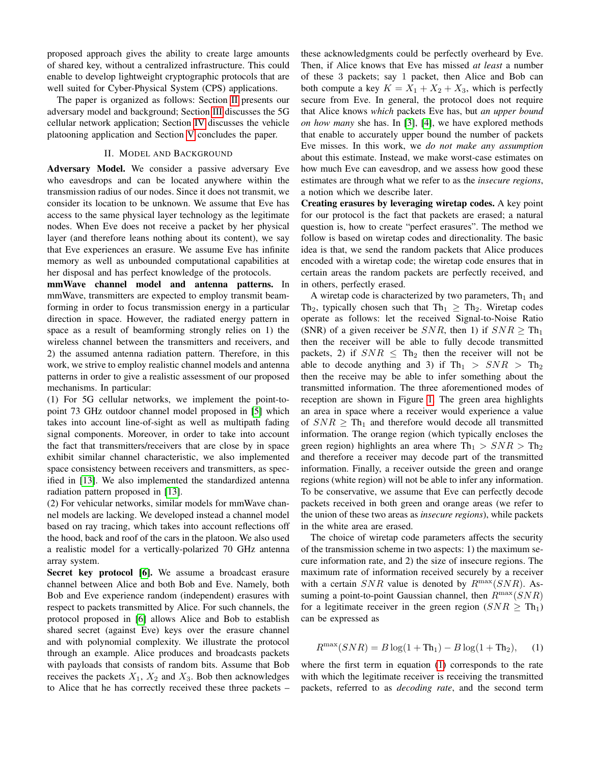proposed approach gives the ability to create large amounts of shared key, without a centralized infrastructure. This could enable to develop lightweight cryptographic protocols that are well suited for Cyber-Physical System (CPS) applications.

The paper is organized as follows: Section [II](#page-1-0) presents our adversary model and background; Section [III](#page-2-0) discusses the 5G cellular network application; Section [IV](#page-5-0) discusses the vehicle platooning application and Section [V](#page-7-10) concludes the paper.

## II. MODEL AND BACKGROUND

<span id="page-1-0"></span>Adversary Model. We consider a passive adversary Eve who eavesdrops and can be located anywhere within the transmission radius of our nodes. Since it does not transmit, we consider its location to be unknown. We assume that Eve has access to the same physical layer technology as the legitimate nodes. When Eve does not receive a packet by her physical layer (and therefore leans nothing about its content), we say that Eve experiences an erasure. We assume Eve has infinite memory as well as unbounded computational capabilities at her disposal and has perfect knowledge of the protocols.

mmWave channel model and antenna patterns. In mmWave, transmitters are expected to employ transmit beamforming in order to focus transmission energy in a particular direction in space. However, the radiated energy pattern in space as a result of beamforming strongly relies on 1) the wireless channel between the transmitters and receivers, and 2) the assumed antenna radiation pattern. Therefore, in this work, we strive to employ realistic channel models and antenna patterns in order to give a realistic assessment of our proposed mechanisms. In particular:

(1) For 5G cellular networks, we implement the point-topoint 73 GHz outdoor channel model proposed in [\[5\]](#page-7-4) which takes into account line-of-sight as well as multipath fading signal components. Moreover, in order to take into account the fact that transmitters/receivers that are close by in space exhibit similar channel characteristic, we also implemented space consistency between receivers and transmitters, as specified in [\[13\]](#page-7-11). We also implemented the standardized antenna radiation pattern proposed in [\[13\]](#page-7-11).

(2) For vehicular networks, similar models for mmWave channel models are lacking. We developed instead a channel model based on ray tracing, which takes into account reflections off the hood, back and roof of the cars in the platoon. We also used a realistic model for a vertically-polarized 70 GHz antenna array system.

Secret key protocol [\[6\]](#page-7-5). We assume a broadcast erasure channel between Alice and both Bob and Eve. Namely, both Bob and Eve experience random (independent) erasures with respect to packets transmitted by Alice. For such channels, the protocol proposed in [\[6\]](#page-7-5) allows Alice and Bob to establish shared secret (against Eve) keys over the erasure channel and with polynomial complexity. We illustrate the protocol through an example. Alice produces and broadcasts packets with payloads that consists of random bits. Assume that Bob receives the packets  $X_1$ ,  $X_2$  and  $X_3$ . Bob then acknowledges to Alice that he has correctly received these three packets –

these acknowledgments could be perfectly overheard by Eve. Then, if Alice knows that Eve has missed *at least* a number of these 3 packets; say 1 packet, then Alice and Bob can both compute a key  $K = X_1 + X_2 + X_3$ , which is perfectly secure from Eve. In general, the protocol does not require that Alice knows *which* packets Eve has, but *an upper bound on how many* she has. In [\[3\]](#page-7-2), [\[4\]](#page-7-3), we have explored methods that enable to accurately upper bound the number of packets Eve misses. In this work, we *do not make any assumption* about this estimate. Instead, we make worst-case estimates on how much Eve can eavesdrop, and we assess how good these estimates are through what we refer to as the *insecure regions*, a notion which we describe later.

Creating erasures by leveraging wiretap codes. A key point for our protocol is the fact that packets are erased; a natural question is, how to create "perfect erasures". The method we follow is based on wiretap codes and directionality. The basic idea is that, we send the random packets that Alice produces encoded with a wiretap code; the wiretap code ensures that in certain areas the random packets are perfectly received, and in others, perfectly erased.

A wiretap code is characterized by two parameters,  $Th<sub>1</sub>$  and Th<sub>2</sub>, typically chosen such that Th<sub>1</sub>  $\geq$  Th<sub>2</sub>. Wiretap codes operate as follows: let the received Signal-to-Noise Ratio (SNR) of a given receiver be  $SNR$ , then 1) if  $SNR > Th_1$ then the receiver will be able to fully decode transmitted packets, 2) if  $SNR \leq Th_2$  then the receiver will not be able to decode anything and 3) if  $Th_1 > SNR > Th_2$ then the receive may be able to infer something about the transmitted information. The three aforementioned modes of reception are shown in Figure [1.](#page-2-1) The green area highlights an area in space where a receiver would experience a value of  $SNR \geq Th_1$  and therefore would decode all transmitted information. The orange region (which typically encloses the green region) highlights an area where  $\text{Th}_1 > SNR > \text{Th}_2$ and therefore a receiver may decode part of the transmitted information. Finally, a receiver outside the green and orange regions (white region) will not be able to infer any information. To be conservative, we assume that Eve can perfectly decode packets received in both green and orange areas (we refer to the union of these two areas as *insecure regions*), while packets in the white area are erased.

The choice of wiretap code parameters affects the security of the transmission scheme in two aspects: 1) the maximum secure information rate, and 2) the size of insecure regions. The maximum rate of information received securely by a receiver with a certain  $SNR$  value is denoted by  $R^{\max}(SNR)$ . Assuming a point-to-point Gaussian channel, then  $R^{\max}(SNR)$ for a legitimate receiver in the green region  $(SNR \geq Th_1)$ can be expressed as

<span id="page-1-1"></span>
$$
R^{\max}(SNR) = B\log(1 + \text{Th}_1) - B\log(1 + \text{Th}_2), \quad (1)
$$

where the first term in equation [\(1\)](#page-1-1) corresponds to the rate with which the legitimate receiver is receiving the transmitted packets, referred to as *decoding rate*, and the second term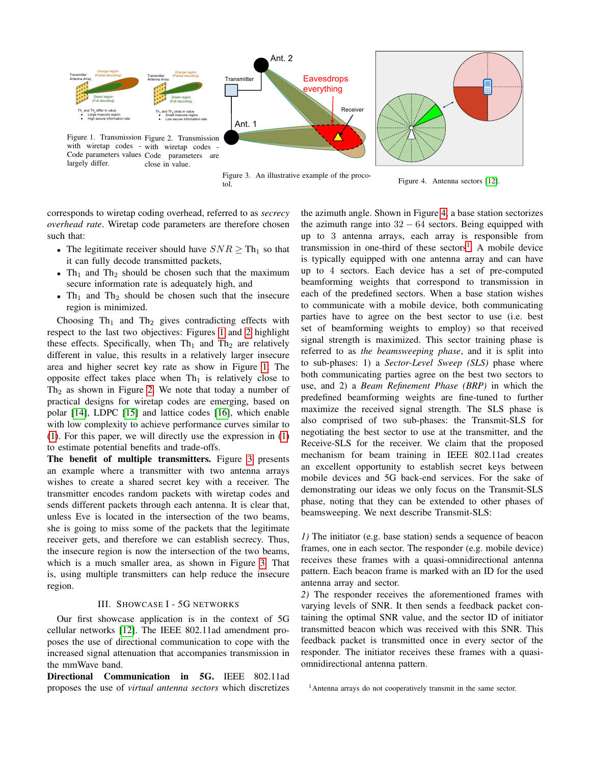<span id="page-2-1"></span>

<span id="page-2-3"></span><span id="page-2-2"></span>Figure 4. Antenna sectors [\[12\]](#page-7-12).

<span id="page-2-4"></span>

corresponds to wiretap coding overhead, referred to as *secrecy overhead rate*. Wiretap code parameters are therefore chosen such that:

- The legitimate receiver should have  $SNR \geq Th_1$  so that it can fully decode transmitted packets,
- Th<sub>1</sub> and Th<sub>2</sub> should be chosen such that the maximum secure information rate is adequately high, and
- Th<sub>1</sub> and Th<sub>2</sub> should be chosen such that the insecure region is minimized.

Choosing  $Th_1$  and  $Th_2$  gives contradicting effects with respect to the last two objectives: Figures [1](#page-2-1) and [2](#page-2-2) highlight these effects. Specifically, when  $Th<sub>1</sub>$  and  $Th<sub>2</sub>$  are relatively different in value, this results in a relatively larger insecure area and higher secret key rate as show in Figure [1.](#page-2-1) The opposite effect takes place when  $Th_1$  is relatively close to  $Th<sub>2</sub>$  as shown in Figure [2.](#page-2-2) We note that today a number of practical designs for wiretap codes are emerging, based on polar [\[14\]](#page-7-13), LDPC [\[15\]](#page-7-14) and lattice codes [\[16\]](#page-7-15), which enable with low complexity to achieve performance curves similar to [\(1\)](#page-1-1). For this paper, we will directly use the expression in [\(1\)](#page-1-1) to estimate potential benefits and trade-offs.

The benefit of multiple transmitters. Figure [3](#page-2-3) presents an example where a transmitter with two antenna arrays wishes to create a shared secret key with a receiver. The transmitter encodes random packets with wiretap codes and sends different packets through each antenna. It is clear that, unless Eve is located in the intersection of the two beams, she is going to miss some of the packets that the legitimate receiver gets, and therefore we can establish secrecy. Thus, the insecure region is now the intersection of the two beams, which is a much smaller area, as shown in Figure [3.](#page-2-3) That is, using multiple transmitters can help reduce the insecure region.

### III. SHOWCASE I - 5G NETWORKS

<span id="page-2-0"></span>Our first showcase application is in the context of 5G cellular networks [\[12\]](#page-7-12). The IEEE 802.11ad amendment proposes the use of directional communication to cope with the increased signal attenuation that accompanies transmission in the mmWave band.

Directional Communication in 5G. IEEE 802.11ad proposes the use of *virtual antenna sectors* which discretizes the azimuth angle. Shown in Figure [4,](#page-2-4) a base station sectorizes the azimuth range into  $32 - 64$  sectors. Being equipped with up to 3 antenna arrays, each array is responsible from transmission in one-third of these sectors<sup>[1](#page-2-5)</sup>. A mobile device is typically equipped with one antenna array and can have up to 4 sectors. Each device has a set of pre-computed beamforming weights that correspond to transmission in each of the predefined sectors. When a base station wishes to communicate with a mobile device, both communicating parties have to agree on the best sector to use (i.e. best set of beamforming weights to employ) so that received signal strength is maximized. This sector training phase is referred to as *the beamsweeping phase*, and it is split into to sub-phases: 1) a *Sector-Level Sweep (SLS)* phase where both communicating parties agree on the best two sectors to use, and 2) a *Beam Refinement Phase (BRP)* in which the predefined beamforming weights are fine-tuned to further maximize the received signal strength. The SLS phase is also comprised of two sub-phases: the Transmit-SLS for negotiating the best sector to use at the transmitter, and the Receive-SLS for the receiver. We claim that the proposed mechanism for beam training in IEEE 802.11ad creates an excellent opportunity to establish secret keys between mobile devices and 5G back-end services. For the sake of demonstrating our ideas we only focus on the Transmit-SLS phase, noting that they can be extended to other phases of beamsweeping. We next describe Transmit-SLS:

*1)* The initiator (e.g. base station) sends a sequence of beacon frames, one in each sector. The responder (e.g. mobile device) receives these frames with a quasi-omnidirectional antenna pattern. Each beacon frame is marked with an ID for the used antenna array and sector.

*2)* The responder receives the aforementioned frames with varying levels of SNR. It then sends a feedback packet containing the optimal SNR value, and the sector ID of initiator transmitted beacon which was received with this SNR. This feedback packet is transmitted once in every sector of the responder. The initiator receives these frames with a quasiomnidirectional antenna pattern.

<span id="page-2-5"></span><sup>1</sup>Antenna arrays do not cooperatively transmit in the same sector.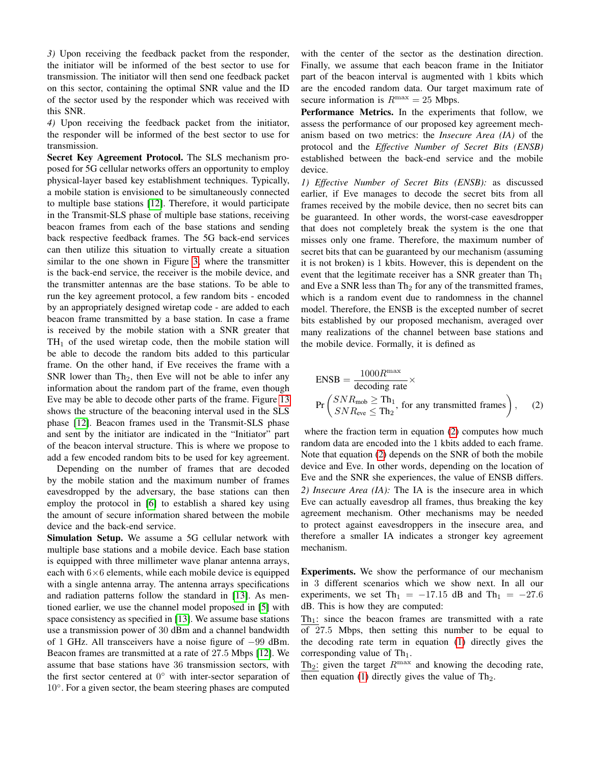*3)* Upon receiving the feedback packet from the responder, the initiator will be informed of the best sector to use for transmission. The initiator will then send one feedback packet on this sector, containing the optimal SNR value and the ID of the sector used by the responder which was received with this SNR.

*4)* Upon receiving the feedback packet from the initiator, the responder will be informed of the best sector to use for transmission.

Secret Key Agreement Protocol. The SLS mechanism proposed for 5G cellular networks offers an opportunity to employ physical-layer based key establishment techniques. Typically, a mobile station is envisioned to be simultaneously connected to multiple base stations [\[12\]](#page-7-12). Therefore, it would participate in the Transmit-SLS phase of multiple base stations, receiving beacon frames from each of the base stations and sending back respective feedback frames. The 5G back-end services can then utilize this situation to virtually create a situation similar to the one shown in Figure [3,](#page-2-3) where the transmitter is the back-end service, the receiver is the mobile device, and the transmitter antennas are the base stations. To be able to run the key agreement protocol, a few random bits - encoded by an appropriately designed wiretap code - are added to each beacon frame transmitted by a base station. In case a frame is received by the mobile station with a SNR greater that  $TH<sub>1</sub>$  of the used wiretap code, then the mobile station will be able to decode the random bits added to this particular frame. On the other hand, if Eve receives the frame with a SNR lower than  $Th_2$ , then Eve will not be able to infer any information about the random part of the frame, even though Eve may be able to decode other parts of the frame. Figure [13](#page-6-0) shows the structure of the beaconing interval used in the SLS phase [\[12\]](#page-7-12). Beacon frames used in the Transmit-SLS phase and sent by the initiator are indicated in the "Initiator" part of the beacon interval structure. This is where we propose to add a few encoded random bits to be used for key agreement.

Depending on the number of frames that are decoded by the mobile station and the maximum number of frames eavesdropped by the adversary, the base stations can then employ the protocol in [\[6\]](#page-7-5) to establish a shared key using the amount of secure information shared between the mobile device and the back-end service.

Simulation Setup. We assume a 5G cellular network with multiple base stations and a mobile device. Each base station is equipped with three millimeter wave planar antenna arrays, each with  $6\times 6$  elements, while each mobile device is equipped with a single antenna array. The antenna arrays specifications and radiation patterns follow the standard in [\[13\]](#page-7-11). As mentioned earlier, we use the channel model proposed in [\[5\]](#page-7-4) with space consistency as specified in [\[13\]](#page-7-11). We assume base stations use a transmission power of 30 dBm and a channel bandwidth of 1 GHz. All transceivers have a noise figure of −99 dBm. Beacon frames are transmitted at a rate of 27.5 Mbps [\[12\]](#page-7-12). We assume that base stations have 36 transmission sectors, with the first sector centered at  $0^{\circ}$  with inter-sector separation of 10°. For a given sector, the beam steering phases are computed

with the center of the sector as the destination direction. Finally, we assume that each beacon frame in the Initiator part of the beacon interval is augmented with 1 kbits which are the encoded random data. Our target maximum rate of secure information is  $R^{\text{max}} = 25$  Mbps.

Performance Metrics. In the experiments that follow, we assess the performance of our proposed key agreement mechanism based on two metrics: the *Insecure Area (IA)* of the protocol and the *Effective Number of Secret Bits (ENSB)* established between the back-end service and the mobile device.

*1) Effective Number of Secret Bits (ENSB):* as discussed earlier, if Eve manages to decode the secret bits from all frames received by the mobile device, then no secret bits can be guaranteed. In other words, the worst-case eavesdropper that does not completely break the system is the one that misses only one frame. Therefore, the maximum number of secret bits that can be guaranteed by our mechanism (assuming it is not broken) is 1 kbits. However, this is dependent on the event that the legitimate receiver has a SNR greater than  $Th_1$ and Eve a SNR less than  $Th_2$  for any of the transmitted frames, which is a random event due to randomness in the channel model. Therefore, the ENSB is the excepted number of secret bits established by our proposed mechanism, averaged over many realizations of the channel between base stations and the mobile device. Formally, it is defined as

<span id="page-3-0"></span>
$$
ENSB = \frac{1000R^{\max}}{\text{decoding rate}} \times
$$
  
Pr $\left(\frac{SNR_{\text{mob}}}{SNR_{\text{eve}}} \leq Th_1$ , for any transmitted frames\right), (2)

where the fraction term in equation [\(2\)](#page-3-0) computes how much random data are encoded into the 1 kbits added to each frame. Note that equation [\(2\)](#page-3-0) depends on the SNR of both the mobile device and Eve. In other words, depending on the location of Eve and the SNR she experiences, the value of ENSB differs. *2) Insecure Area (IA):* The IA is the insecure area in which Eve can actually eavesdrop all frames, thus breaking the key agreement mechanism. Other mechanisms may be needed to protect against eavesdroppers in the insecure area, and therefore a smaller IA indicates a stronger key agreement mechanism.

Experiments. We show the performance of our mechanism in 3 different scenarios which we show next. In all our experiments, we set Th<sub>1</sub> = −17.15 dB and Th<sub>1</sub> = −27.6 dB. This is how they are computed:

 $Th_1$ : since the beacon frames are transmitted with a rate of 27.5 Mbps, then setting this number to be equal to the decoding rate term in equation [\(1\)](#page-1-1) directly gives the corresponding value of  $Th_1$ .

Th<sub>2</sub>: given the target  $R^{\text{max}}$  and knowing the decoding rate, then equation [\(1\)](#page-1-1) directly gives the value of  $Th_2$ .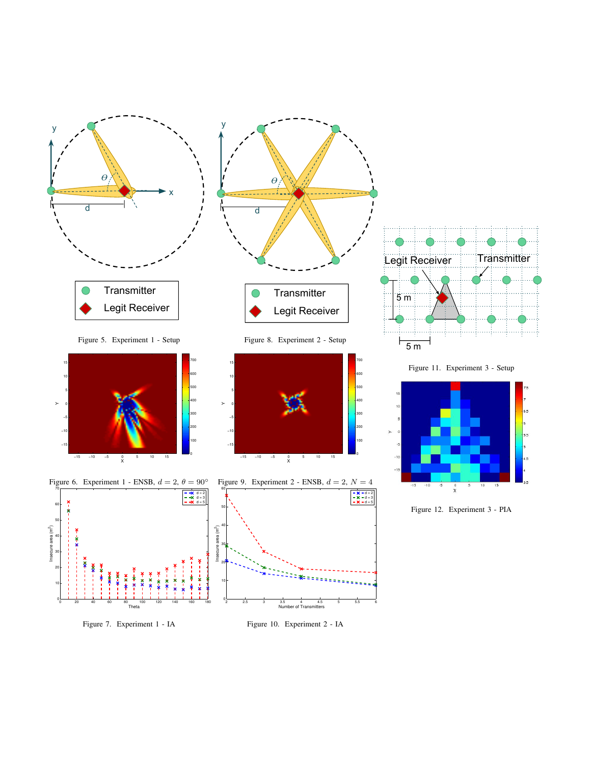<span id="page-4-0"></span>

<span id="page-4-2"></span><span id="page-4-1"></span>Figure 7. Experiment 1 - IA

<span id="page-4-7"></span><span id="page-4-6"></span><span id="page-4-5"></span><span id="page-4-4"></span><span id="page-4-3"></span>Figure 10. Experiment 2 - IA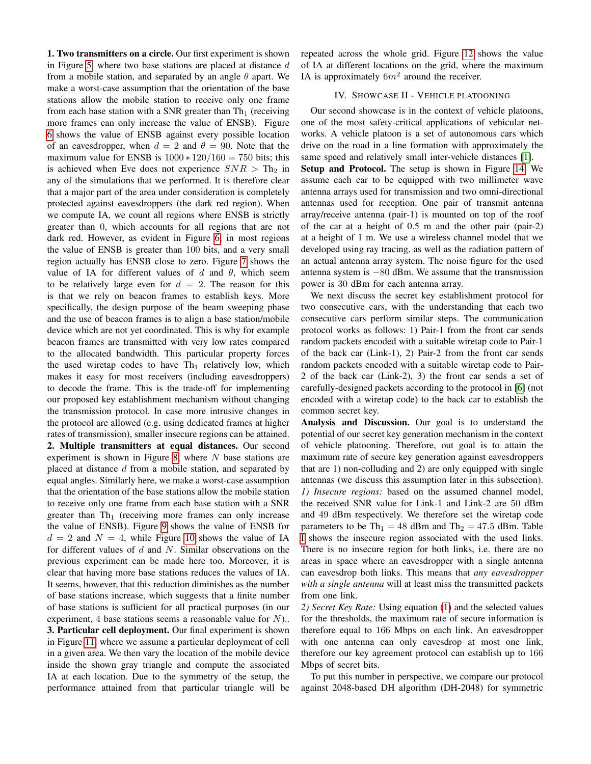1. Two transmitters on a circle. Our first experiment is shown in Figure [5,](#page-4-0) where two base stations are placed at distance  $d$ from a mobile station, and separated by an angle  $\theta$  apart. We make a worst-case assumption that the orientation of the base stations allow the mobile station to receive only one frame from each base station with a SNR greater than  $Th_1$  (receiving more frames can only increase the value of ENSB). Figure [6](#page-4-1) shows the value of ENSB against every possible location of an eavesdropper, when  $d = 2$  and  $\theta = 90$ . Note that the maximum value for ENSB is  $1000 * 120/160 = 750$  bits; this is achieved when Eve does not experience  $SNR > Th<sub>2</sub>$  in any of the simulations that we performed. It is therefore clear that a major part of the area under consideration is completely protected against eavesdroppers (the dark red region). When we compute IA, we count all regions where ENSB is strictly greater than 0, which accounts for all regions that are not dark red. However, as evident in Figure [6,](#page-4-1) in most regions the value of ENSB is greater than 100 bits, and a very small region actually has ENSB close to zero. Figure [7](#page-4-2) shows the value of IA for different values of d and  $\theta$ , which seem to be relatively large even for  $d = 2$ . The reason for this is that we rely on beacon frames to establish keys. More specifically, the design purpose of the beam sweeping phase and the use of beacon frames is to align a base station/mobile device which are not yet coordinated. This is why for example beacon frames are transmitted with very low rates compared to the allocated bandwidth. This particular property forces the used wiretap codes to have  $Th_1$  relatively low, which makes it easy for most receivers (including eavesdroppers) to decode the frame. This is the trade-off for implementing our proposed key establishment mechanism without changing the transmission protocol. In case more intrusive changes in the protocol are allowed (e.g. using dedicated frames at higher rates of transmission), smaller insecure regions can be attained. 2. Multiple transmitters at equal distances. Our second experiment is shown in Figure [8,](#page-4-3) where  $N$  base stations are placed at distance  $d$  from a mobile station, and separated by equal angles. Similarly here, we make a worst-case assumption that the orientation of the base stations allow the mobile station to receive only one frame from each base station with a SNR greater than  $Th_1$  (receiving more frames can only increase the value of ENSB). Figure [9](#page-4-4) shows the value of ENSB for  $d = 2$  and  $N = 4$ , while Figure [10](#page-4-5) shows the value of IA for different values of  $d$  and  $N$ . Similar observations on the previous experiment can be made here too. Moreover, it is clear that having more base stations reduces the values of IA. It seems, however, that this reduction diminishes as the number of base stations increase, which suggests that a finite number of base stations is sufficient for all practical purposes (in our experiment, 4 base stations seems a reasonable value for  $N$ ).. 3. Particular cell deployment. Our final experiment is shown in Figure [11,](#page-4-6) where we assume a particular deployment of cell in a given area. We then vary the location of the mobile device inside the shown gray triangle and compute the associated IA at each location. Due to the symmetry of the setup, the performance attained from that particular triangle will be

repeated across the whole grid. Figure [12](#page-4-7) shows the value of IA at different locations on the grid, where the maximum IA is approximately  $6m^2$  around the receiver.

## IV. SHOWCASE II - VEHICLE PLATOONING

<span id="page-5-0"></span>Our second showcase is in the context of vehicle platoons, one of the most safety-critical applications of vehicular networks. A vehicle platoon is a set of autonomous cars which drive on the road in a line formation with approximately the same speed and relatively small inter-vehicle distances [\[1\]](#page-7-0).

Setup and Protocol. The setup is shown in Figure [14.](#page-6-1) We assume each car to be equipped with two millimeter wave antenna arrays used for transmission and two omni-directional antennas used for reception. One pair of transmit antenna array/receive antenna (pair-1) is mounted on top of the roof of the car at a height of 0.5 m and the other pair (pair-2) at a height of 1 m. We use a wireless channel model that we developed using ray tracing, as well as the radiation pattern of an actual antenna array system. The noise figure for the used antenna system is −80 dBm. We assume that the transmission power is 30 dBm for each antenna array.

We next discuss the secret key establishment protocol for two consecutive cars, with the understanding that each two consecutive cars perform similar steps. The communication protocol works as follows: 1) Pair-1 from the front car sends random packets encoded with a suitable wiretap code to Pair-1 of the back car (Link-1), 2) Pair-2 from the front car sends random packets encoded with a suitable wiretap code to Pair-2 of the back car (Link-2), 3) the front car sends a set of carefully-designed packets according to the protocol in [\[6\]](#page-7-5) (not encoded with a wiretap code) to the back car to establish the common secret key.

Analysis and Discussion. Our goal is to understand the potential of our secret key generation mechanism in the context of vehicle platooning. Therefore, out goal is to attain the maximum rate of secure key generation against eavesdroppers that are 1) non-colluding and 2) are only equipped with single antennas (we discuss this assumption later in this subsection). *1) Insecure regions:* based on the assumed channel model, the received SNR value for Link-1 and Link-2 are 50 dBm and 49 dBm respectively. We therefore set the wiretap code parameters to be  $\text{Th}_1 = 48$  dBm and  $\text{Th}_2 = 47.5$  dBm. Table [I](#page-6-2) shows the insecure region associated with the used links. There is no insecure region for both links, i.e. there are no areas in space where an eavesdropper with a single antenna can eavesdrop both links. This means that *any eavesdropper with a single antenna* will at least miss the transmitted packets from one link.

*2) Secret Key Rate:* Using equation [\(1\)](#page-1-1) and the selected values for the thresholds, the maximum rate of secure information is therefore equal to 166 Mbps on each link. An eavesdropper with one antenna can only eavesdrop at most one link, therefore our key agreement protocol can establish up to 166 Mbps of secret bits.

To put this number in perspective, we compare our protocol against 2048-based DH algorithm (DH-2048) for symmetric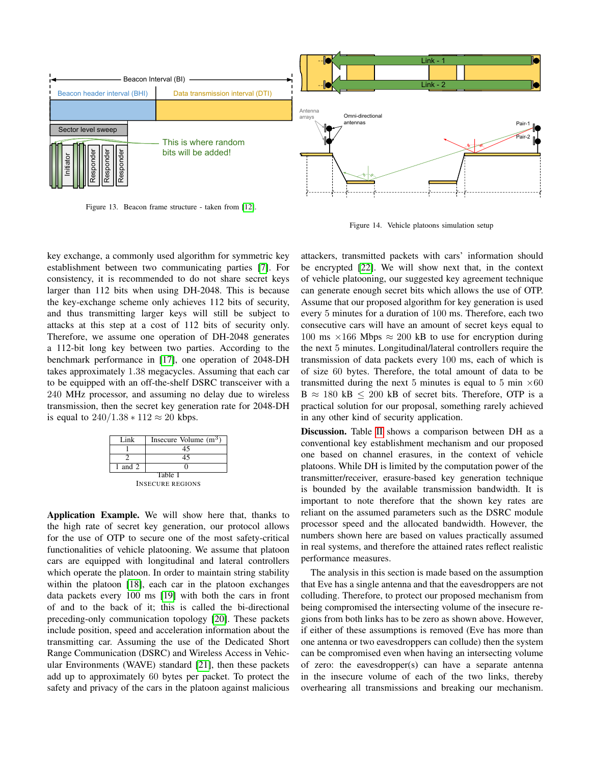

<span id="page-6-0"></span>Figure 13. Beacon frame structure - taken from [\[12\]](#page-7-12).

<span id="page-6-1"></span>

key exchange, a commonly used algorithm for symmetric key establishment between two communicating parties [\[7\]](#page-7-6). For consistency, it is recommended to do not share secret keys larger than 112 bits when using DH-2048. This is because the key-exchange scheme only achieves 112 bits of security, and thus transmitting larger keys will still be subject to attacks at this step at a cost of 112 bits of security only. Therefore, we assume one operation of DH-2048 generates a 112-bit long key between two parties. According to the benchmark performance in [\[17\]](#page-7-16), one operation of 2048-DH takes approximately 1.38 megacycles. Assuming that each car to be equipped with an off-the-shelf DSRC transceiver with a 240 MHz processor, and assuming no delay due to wireless transmission, then the secret key generation rate for 2048-DH is equal to  $240/1.38 * 112 \approx 20$  kbps.



<span id="page-6-2"></span>Application Example. We will show here that, thanks to the high rate of secret key generation, our protocol allows for the use of OTP to secure one of the most safety-critical functionalities of vehicle platooning. We assume that platoon cars are equipped with longitudinal and lateral controllers which operate the platoon. In order to maintain string stability within the platoon [\[18\]](#page-7-17), each car in the platoon exchanges data packets every 100 ms [\[19\]](#page-7-18) with both the cars in front of and to the back of it; this is called the bi-directional preceding-only communication topology [\[20\]](#page-7-19). These packets include position, speed and acceleration information about the transmitting car. Assuming the use of the Dedicated Short Range Communication (DSRC) and Wireless Access in Vehicular Environments (WAVE) standard [\[21\]](#page-7-20), then these packets add up to approximately 60 bytes per packet. To protect the safety and privacy of the cars in the platoon against malicious attackers, transmitted packets with cars' information should be encrypted [\[22\]](#page-7-21). We will show next that, in the context of vehicle platooning, our suggested key agreement technique can generate enough secret bits which allows the use of OTP. Assume that our proposed algorithm for key generation is used every 5 minutes for a duration of 100 ms. Therefore, each two consecutive cars will have an amount of secret keys equal to 100 ms  $\times$ 166 Mbps  $\approx$  200 kB to use for encryption during the next 5 minutes. Longitudinal/lateral controllers require the transmission of data packets every 100 ms, each of which is of size 60 bytes. Therefore, the total amount of data to be transmitted during the next 5 minutes is equal to 5 min  $\times 60$  $B \approx 180 \text{ kB} \leq 200 \text{ kB}$  of secret bits. Therefore, OTP is a practical solution for our proposal, something rarely achieved in any other kind of security application.

Discussion. Table [II](#page-7-22) shows a comparison between DH as a conventional key establishment mechanism and our proposed one based on channel erasures, in the context of vehicle platoons. While DH is limited by the computation power of the transmitter/receiver, erasure-based key generation technique is bounded by the available transmission bandwidth. It is important to note therefore that the shown key rates are reliant on the assumed parameters such as the DSRC module processor speed and the allocated bandwidth. However, the numbers shown here are based on values practically assumed in real systems, and therefore the attained rates reflect realistic performance measures.

The analysis in this section is made based on the assumption that Eve has a single antenna and that the eavesdroppers are not colluding. Therefore, to protect our proposed mechanism from being compromised the intersecting volume of the insecure regions from both links has to be zero as shown above. However, if either of these assumptions is removed (Eve has more than one antenna or two eavesdroppers can collude) then the system can be compromised even when having an intersecting volume of zero: the eavesdropper(s) can have a separate antenna in the insecure volume of each of the two links, thereby overhearing all transmissions and breaking our mechanism.